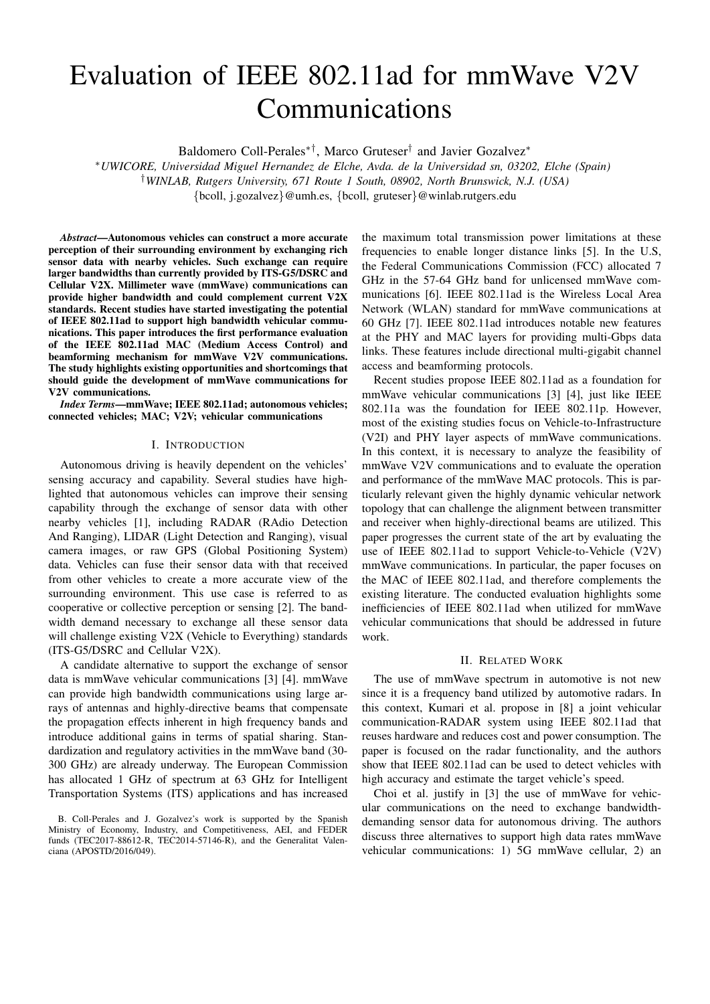# Evaluation of IEEE 802.11ad for mmWave V2V Communications

Baldomero Coll-Perales∗†, Marco Gruteser† and Javier Gozalvez<sup>∗</sup>

<sup>∗</sup>*UWICORE, Universidad Miguel Hernandez de Elche, Avda. de la Universidad sn, 03202, Elche (Spain)* †*WINLAB, Rutgers University, 671 Route 1 South, 08902, North Brunswick, N.J. (USA)*

{bcoll, j.gozalvez}@umh.es, {bcoll, gruteser}@winlab.rutgers.edu

*Abstract*—Autonomous vehicles can construct a more accurate perception of their surrounding environment by exchanging rich sensor data with nearby vehicles. Such exchange can require larger bandwidths than currently provided by ITS-G5/DSRC and Cellular V2X. Millimeter wave (mmWave) communications can provide higher bandwidth and could complement current V2X standards. Recent studies have started investigating the potential of IEEE 802.11ad to support high bandwidth vehicular communications. This paper introduces the first performance evaluation of the IEEE 802.11ad MAC (Medium Access Control) and beamforming mechanism for mmWave V2V communications. The study highlights existing opportunities and shortcomings that should guide the development of mmWave communications for V2V communications.

*Index Terms*—mmWave; IEEE 802.11ad; autonomous vehicles; connected vehicles; MAC; V2V; vehicular communications

## I. INTRODUCTION

Autonomous driving is heavily dependent on the vehicles' sensing accuracy and capability. Several studies have highlighted that autonomous vehicles can improve their sensing capability through the exchange of sensor data with other nearby vehicles [1], including RADAR (RAdio Detection And Ranging), LIDAR (Light Detection and Ranging), visual camera images, or raw GPS (Global Positioning System) data. Vehicles can fuse their sensor data with that received from other vehicles to create a more accurate view of the surrounding environment. This use case is referred to as cooperative or collective perception or sensing [2]. The bandwidth demand necessary to exchange all these sensor data will challenge existing V2X (Vehicle to Everything) standards (ITS-G5/DSRC and Cellular V2X).

A candidate alternative to support the exchange of sensor data is mmWave vehicular communications [3] [4]. mmWave can provide high bandwidth communications using large arrays of antennas and highly-directive beams that compensate the propagation effects inherent in high frequency bands and introduce additional gains in terms of spatial sharing. Standardization and regulatory activities in the mmWave band (30- 300 GHz) are already underway. The European Commission has allocated 1 GHz of spectrum at 63 GHz for Intelligent Transportation Systems (ITS) applications and has increased the maximum total transmission power limitations at these frequencies to enable longer distance links [5]. In the U.S, the Federal Communications Commission (FCC) allocated 7 GHz in the 57-64 GHz band for unlicensed mmWave communications [6]. IEEE 802.11ad is the Wireless Local Area Network (WLAN) standard for mmWave communications at 60 GHz [7]. IEEE 802.11ad introduces notable new features at the PHY and MAC layers for providing multi-Gbps data links. These features include directional multi-gigabit channel access and beamforming protocols.

Recent studies propose IEEE 802.11ad as a foundation for mmWave vehicular communications [3] [4], just like IEEE 802.11a was the foundation for IEEE 802.11p. However, most of the existing studies focus on Vehicle-to-Infrastructure (V2I) and PHY layer aspects of mmWave communications. In this context, it is necessary to analyze the feasibility of mmWave V2V communications and to evaluate the operation and performance of the mmWave MAC protocols. This is particularly relevant given the highly dynamic vehicular network topology that can challenge the alignment between transmitter and receiver when highly-directional beams are utilized. This paper progresses the current state of the art by evaluating the use of IEEE 802.11ad to support Vehicle-to-Vehicle (V2V) mmWave communications. In particular, the paper focuses on the MAC of IEEE 802.11ad, and therefore complements the existing literature. The conducted evaluation highlights some inefficiencies of IEEE 802.11ad when utilized for mmWave vehicular communications that should be addressed in future work.

# II. RELATED WORK

The use of mmWave spectrum in automotive is not new since it is a frequency band utilized by automotive radars. In this context, Kumari et al. propose in [8] a joint vehicular communication-RADAR system using IEEE 802.11ad that reuses hardware and reduces cost and power consumption. The paper is focused on the radar functionality, and the authors show that IEEE 802.11ad can be used to detect vehicles with high accuracy and estimate the target vehicle's speed.

Choi et al. justify in [3] the use of mmWave for vehicular communications on the need to exchange bandwidthdemanding sensor data for autonomous driving. The authors discuss three alternatives to support high data rates mmWave vehicular communications: 1) 5G mmWave cellular, 2) an

B. Coll-Perales and J. Gozalvez's work is supported by the Spanish Ministry of Economy, Industry, and Competitiveness, AEI, and FEDER funds (TEC2017-88612-R, TEC2014-57146-R), and the Generalitat Valenciana (APOSTD/2016/049).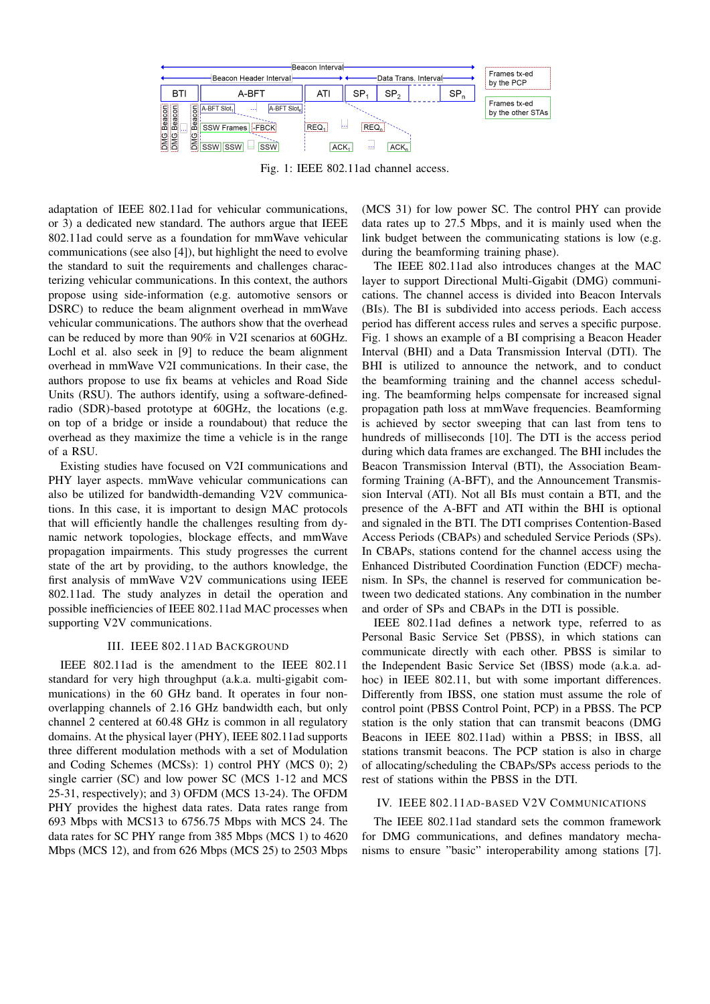

Fig. 1: IEEE 802.11ad channel access.

adaptation of IEEE 802.11ad for vehicular communications, or 3) a dedicated new standard. The authors argue that IEEE 802.11ad could serve as a foundation for mmWave vehicular communications (see also [4]), but highlight the need to evolve the standard to suit the requirements and challenges characterizing vehicular communications. In this context, the authors propose using side-information (e.g. automotive sensors or DSRC) to reduce the beam alignment overhead in mmWave vehicular communications. The authors show that the overhead can be reduced by more than 90% in V2I scenarios at 60GHz. Lochl et al. also seek in [9] to reduce the beam alignment overhead in mmWave V2I communications. In their case, the authors propose to use fix beams at vehicles and Road Side Units (RSU). The authors identify, using a software-definedradio (SDR)-based prototype at 60GHz, the locations (e.g. on top of a bridge or inside a roundabout) that reduce the overhead as they maximize the time a vehicle is in the range of a RSU.

Existing studies have focused on V2I communications and PHY layer aspects. mmWave vehicular communications can also be utilized for bandwidth-demanding V2V communications. In this case, it is important to design MAC protocols that will efficiently handle the challenges resulting from dynamic network topologies, blockage effects, and mmWave propagation impairments. This study progresses the current state of the art by providing, to the authors knowledge, the first analysis of mmWave V2V communications using IEEE 802.11ad. The study analyzes in detail the operation and possible inefficiencies of IEEE 802.11ad MAC processes when supporting V2V communications.

#### III. IEEE 802.11AD BACKGROUND

IEEE 802.11ad is the amendment to the IEEE 802.11 standard for very high throughput (a.k.a. multi-gigabit communications) in the 60 GHz band. It operates in four nonoverlapping channels of 2.16 GHz bandwidth each, but only channel 2 centered at 60.48 GHz is common in all regulatory domains. At the physical layer (PHY), IEEE 802.11ad supports three different modulation methods with a set of Modulation and Coding Schemes (MCSs): 1) control PHY (MCS 0); 2) single carrier (SC) and low power SC (MCS 1-12 and MCS 25-31, respectively); and 3) OFDM (MCS 13-24). The OFDM PHY provides the highest data rates. Data rates range from 693 Mbps with MCS13 to 6756.75 Mbps with MCS 24. The data rates for SC PHY range from 385 Mbps (MCS 1) to 4620 Mbps (MCS 12), and from 626 Mbps (MCS 25) to 2503 Mbps

(MCS 31) for low power SC. The control PHY can provide data rates up to 27.5 Mbps, and it is mainly used when the link budget between the communicating stations is low (e.g. during the beamforming training phase).

The IEEE 802.11ad also introduces changes at the MAC layer to support Directional Multi-Gigabit (DMG) communications. The channel access is divided into Beacon Intervals (BIs). The BI is subdivided into access periods. Each access period has different access rules and serves a specific purpose. Fig. 1 shows an example of a BI comprising a Beacon Header Interval (BHI) and a Data Transmission Interval (DTI). The BHI is utilized to announce the network, and to conduct the beamforming training and the channel access scheduling. The beamforming helps compensate for increased signal propagation path loss at mmWave frequencies. Beamforming is achieved by sector sweeping that can last from tens to hundreds of milliseconds [10]. The DTI is the access period during which data frames are exchanged. The BHI includes the Beacon Transmission Interval (BTI), the Association Beamforming Training (A-BFT), and the Announcement Transmission Interval (ATI). Not all BIs must contain a BTI, and the presence of the A-BFT and ATI within the BHI is optional and signaled in the BTI. The DTI comprises Contention-Based Access Periods (CBAPs) and scheduled Service Periods (SPs). In CBAPs, stations contend for the channel access using the Enhanced Distributed Coordination Function (EDCF) mechanism. In SPs, the channel is reserved for communication between two dedicated stations. Any combination in the number and order of SPs and CBAPs in the DTI is possible.

IEEE 802.11ad defines a network type, referred to as Personal Basic Service Set (PBSS), in which stations can communicate directly with each other. PBSS is similar to the Independent Basic Service Set (IBSS) mode (a.k.a. adhoc) in IEEE 802.11, but with some important differences. Differently from IBSS, one station must assume the role of control point (PBSS Control Point, PCP) in a PBSS. The PCP station is the only station that can transmit beacons (DMG Beacons in IEEE 802.11ad) within a PBSS; in IBSS, all stations transmit beacons. The PCP station is also in charge of allocating/scheduling the CBAPs/SPs access periods to the rest of stations within the PBSS in the DTI.

# IV. IEEE 802.11AD-BASED V2V COMMUNICATIONS

The IEEE 802.11ad standard sets the common framework for DMG communications, and defines mandatory mechanisms to ensure "basic" interoperability among stations [7].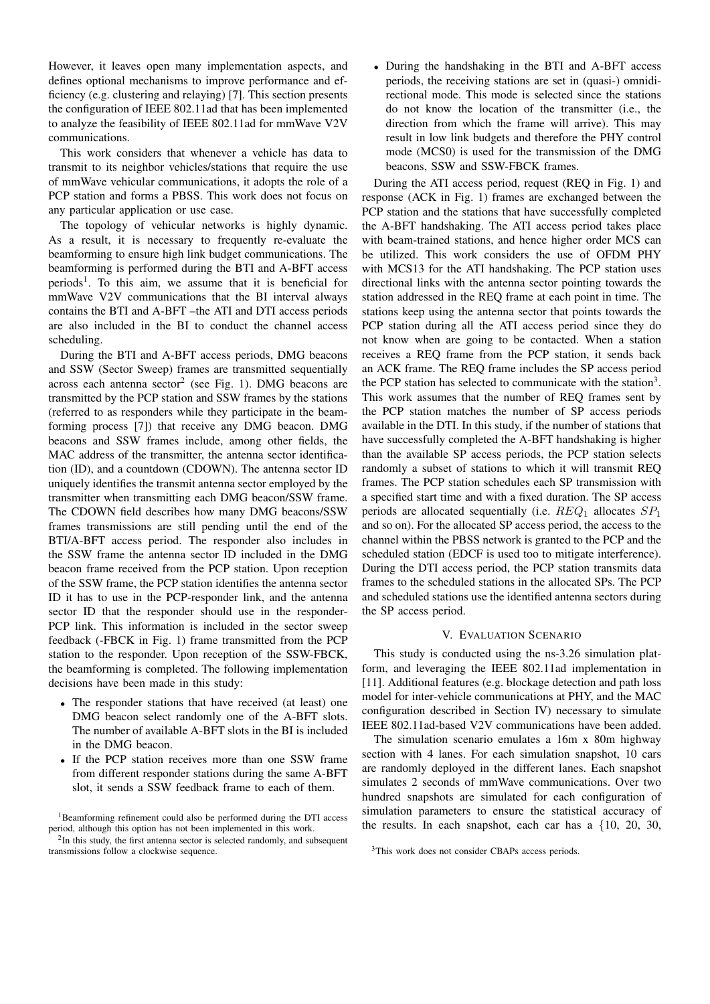However, it leaves open many implementation aspects, and defines optional mechanisms to improve performance and efficiency (e.g. clustering and relaying) [7]. This section presents the configuration of IEEE 802.11ad that has been implemented to analyze the feasibility of IEEE 802.11ad for mmWave V2V communications.

This work considers that whenever a vehicle has data to transmit to its neighbor vehicles/stations that require the use of mmWave vehicular communications, it adopts the role of a PCP station and forms a PBSS. This work does not focus on any particular application or use case.

The topology of vehicular networks is highly dynamic. As a result, it is necessary to frequently re-evaluate the beamforming to ensure high link budget communications. The beamforming is performed during the BTI and A-BFT access periods<sup>1</sup>. To this aim, we assume that it is beneficial for mmWave V2V communications that the BI interval always contains the BTI and A-BFT –the ATI and DTI access periods are also included in the BI to conduct the channel access scheduling.

During the BTI and A-BFT access periods, DMG beacons and SSW (Sector Sweep) frames are transmitted sequentially across each antenna  $\text{sector}^2$  (see Fig. 1). DMG beacons are transmitted by the PCP station and SSW frames by the stations (referred to as responders while they participate in the beamforming process [7]) that receive any DMG beacon. DMG beacons and SSW frames include, among other fields, the MAC address of the transmitter, the antenna sector identification (ID), and a countdown (CDOWN). The antenna sector ID uniquely identifies the transmit antenna sector employed by the transmitter when transmitting each DMG beacon/SSW frame. The CDOWN field describes how many DMG beacons/SSW frames transmissions are still pending until the end of the BTI/A-BFT access period. The responder also includes in the SSW frame the antenna sector ID included in the DMG beacon frame received from the PCP station. Upon reception of the SSW frame, the PCP station identifies the antenna sector ID it has to use in the PCP-responder link, and the antenna sector ID that the responder should use in the responder-PCP link. This information is included in the sector sweep feedback (-FBCK in Fig. 1) frame transmitted from the PCP station to the responder. Upon reception of the SSW-FBCK, the beamforming is completed. The following implementation decisions have been made in this study:

- The responder stations that have received (at least) one DMG beacon select randomly one of the A-BFT slots. The number of available A-BFT slots in the BI is included in the DMG beacon.
- If the PCP station receives more than one SSW frame from different responder stations during the same A-BFT slot, it sends a SSW feedback frame to each of them.

<sup>1</sup>Beamforming refinement could also be performed during the DTI access period, although this option has not been implemented in this work.

<sup>2</sup>In this study, the first antenna sector is selected randomly, and subsequent transmissions follow a clockwise sequence.

• During the handshaking in the BTI and A-BFT access periods, the receiving stations are set in (quasi-) omnidirectional mode. This mode is selected since the stations do not know the location of the transmitter (i.e., the direction from which the frame will arrive). This may result in low link budgets and therefore the PHY control mode (MCS0) is used for the transmission of the DMG beacons, SSW and SSW-FBCK frames.

During the ATI access period, request (REQ in Fig. 1) and response (ACK in Fig. 1) frames are exchanged between the PCP station and the stations that have successfully completed the A-BFT handshaking. The ATI access period takes place with beam-trained stations, and hence higher order MCS can be utilized. This work considers the use of OFDM PHY with MCS13 for the ATI handshaking. The PCP station uses directional links with the antenna sector pointing towards the station addressed in the REQ frame at each point in time. The stations keep using the antenna sector that points towards the PCP station during all the ATI access period since they do not know when are going to be contacted. When a station receives a REQ frame from the PCP station, it sends back an ACK frame. The REQ frame includes the SP access period the PCP station has selected to communicate with the station<sup>3</sup>. This work assumes that the number of REQ frames sent by the PCP station matches the number of SP access periods available in the DTI. In this study, if the number of stations that have successfully completed the A-BFT handshaking is higher than the available SP access periods, the PCP station selects randomly a subset of stations to which it will transmit REQ frames. The PCP station schedules each SP transmission with a specified start time and with a fixed duration. The SP access periods are allocated sequentially (i.e.  $REQ_1$  allocates  $SP_1$ and so on). For the allocated SP access period, the access to the channel within the PBSS network is granted to the PCP and the scheduled station (EDCF is used too to mitigate interference). During the DTI access period, the PCP station transmits data frames to the scheduled stations in the allocated SPs. The PCP and scheduled stations use the identified antenna sectors during the SP access period.

### V. EVALUATION SCENARIO

This study is conducted using the ns-3.26 simulation platform, and leveraging the IEEE 802.11ad implementation in [11]. Additional features (e.g. blockage detection and path loss model for inter-vehicle communications at PHY, and the MAC configuration described in Section IV) necessary to simulate IEEE 802.11ad-based V2V communications have been added.

The simulation scenario emulates a 16m x 80m highway section with 4 lanes. For each simulation snapshot, 10 cars are randomly deployed in the different lanes. Each snapshot simulates 2 seconds of mmWave communications. Over two hundred snapshots are simulated for each configuration of simulation parameters to ensure the statistical accuracy of the results. In each snapshot, each car has a  $\{10, 20, 30,$ 

<sup>3</sup>This work does not consider CBAPs access periods.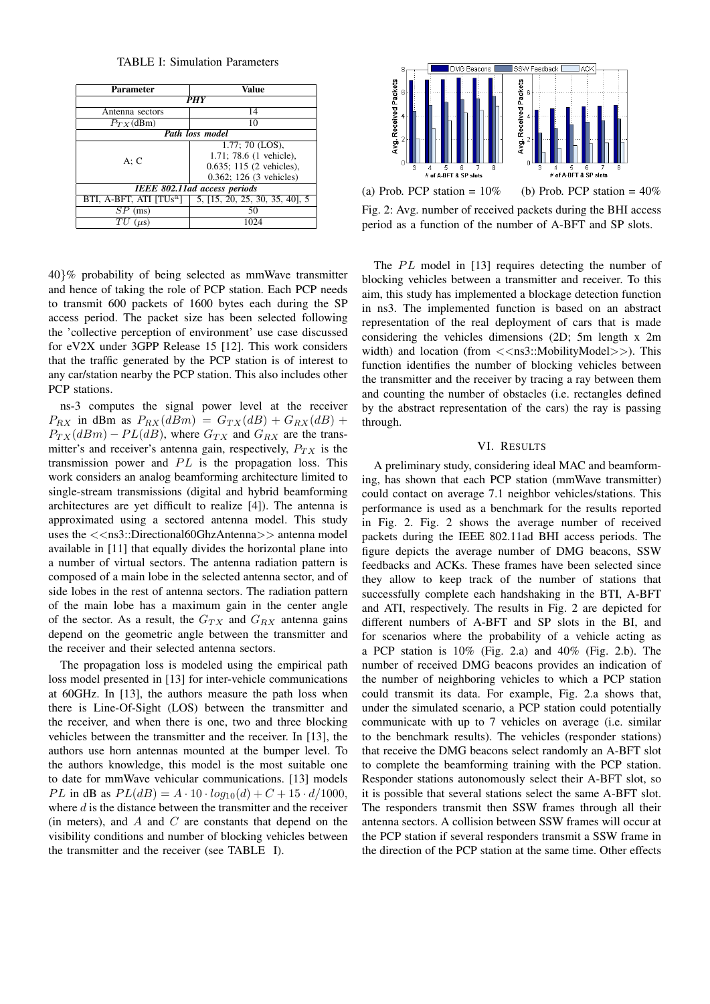TABLE I: Simulation Parameters

| <b>Parameter</b>             | <b>Value</b>                   |
|------------------------------|--------------------------------|
| <b>PHY</b>                   |                                |
| Antenna sectors              | 14                             |
| $P_{T}$ x (dBm)              | 10                             |
| Path loss model              |                                |
| A: C                         | $1.77$ ; 70 (LOS),             |
|                              | 1.71; 78.6 (1 vehicle),        |
|                              | $0.635$ ; 115 (2 vehicles),    |
|                              | 0.362; 126 (3 vehicles)        |
| IEEE 802.11ad access periods |                                |
| BTI, A-BFT, ATI $ TUs^a $    | 5, [15, 20, 25, 30, 35, 40], 5 |
| SР<br>(ms)                   | 50                             |
| $\mu$ S)                     |                                |

40}% probability of being selected as mmWave transmitter and hence of taking the role of PCP station. Each PCP needs to transmit 600 packets of 1600 bytes each during the SP access period. The packet size has been selected following the 'collective perception of environment' use case discussed for eV2X under 3GPP Release 15 [12]. This work considers that the traffic generated by the PCP station is of interest to any car/station nearby the PCP station. This also includes other PCP stations.

ns-3 computes the signal power level at the receiver  $P_{RX}$  in dBm as  $P_{RX}(dBm) = G_{TX}(dB) + G_{RX}(dB) +$  $P_{TX}(dBm) - PL(dB)$ , where  $G_{TX}$  and  $G_{RX}$  are the transmitter's and receiver's antenna gain, respectively,  $P_{TX}$  is the transmission power and  $PL$  is the propagation loss. This work considers an analog beamforming architecture limited to single-stream transmissions (digital and hybrid beamforming architectures are yet difficult to realize [4]). The antenna is approximated using a sectored antenna model. This study uses the  $<<$ ns3::Directional60GhzAntenna $>>$  antenna model available in [11] that equally divides the horizontal plane into a number of virtual sectors. The antenna radiation pattern is composed of a main lobe in the selected antenna sector, and of side lobes in the rest of antenna sectors. The radiation pattern of the main lobe has a maximum gain in the center angle of the sector. As a result, the  $G_{TX}$  and  $G_{RX}$  antenna gains depend on the geometric angle between the transmitter and the receiver and their selected antenna sectors.

The propagation loss is modeled using the empirical path loss model presented in [13] for inter-vehicle communications at 60GHz. In [13], the authors measure the path loss when there is Line-Of-Sight (LOS) between the transmitter and the receiver, and when there is one, two and three blocking vehicles between the transmitter and the receiver. In [13], the authors use horn antennas mounted at the bumper level. To the authors knowledge, this model is the most suitable one to date for mmWave vehicular communications. [13] models PL in dB as  $PL(dB) = A \cdot 10 \cdot log_{10}(d) + C + 15 \cdot d/1000$ , where  $d$  is the distance between the transmitter and the receiver (in meters), and  $A$  and  $C$  are constants that depend on the visibility conditions and number of blocking vehicles between the transmitter and the receiver (see TABLE I).



Fig. 2: Avg. number of received packets during the BHI access period as a function of the number of A-BFT and SP slots.

The  $PL$  model in [13] requires detecting the number of blocking vehicles between a transmitter and receiver. To this aim, this study has implemented a blockage detection function in ns3. The implemented function is based on an abstract representation of the real deployment of cars that is made considering the vehicles dimensions (2D; 5m length x 2m width) and location (from  $\langle \langle ns3::MobilityModel \rangle \rangle$ ). This function identifies the number of blocking vehicles between the transmitter and the receiver by tracing a ray between them and counting the number of obstacles (i.e. rectangles defined by the abstract representation of the cars) the ray is passing through.

# VI. RESULTS

A preliminary study, considering ideal MAC and beamforming, has shown that each PCP station (mmWave transmitter) could contact on average 7.1 neighbor vehicles/stations. This performance is used as a benchmark for the results reported in Fig. 2. Fig. 2 shows the average number of received packets during the IEEE 802.11ad BHI access periods. The figure depicts the average number of DMG beacons, SSW feedbacks and ACKs. These frames have been selected since they allow to keep track of the number of stations that successfully complete each handshaking in the BTI, A-BFT and ATI, respectively. The results in Fig. 2 are depicted for different numbers of A-BFT and SP slots in the BI, and for scenarios where the probability of a vehicle acting as a PCP station is 10% (Fig. 2.a) and 40% (Fig. 2.b). The number of received DMG beacons provides an indication of the number of neighboring vehicles to which a PCP station could transmit its data. For example, Fig. 2.a shows that, under the simulated scenario, a PCP station could potentially communicate with up to 7 vehicles on average (i.e. similar to the benchmark results). The vehicles (responder stations) that receive the DMG beacons select randomly an A-BFT slot to complete the beamforming training with the PCP station. Responder stations autonomously select their A-BFT slot, so it is possible that several stations select the same A-BFT slot. The responders transmit then SSW frames through all their antenna sectors. A collision between SSW frames will occur at the PCP station if several responders transmit a SSW frame in the direction of the PCP station at the same time. Other effects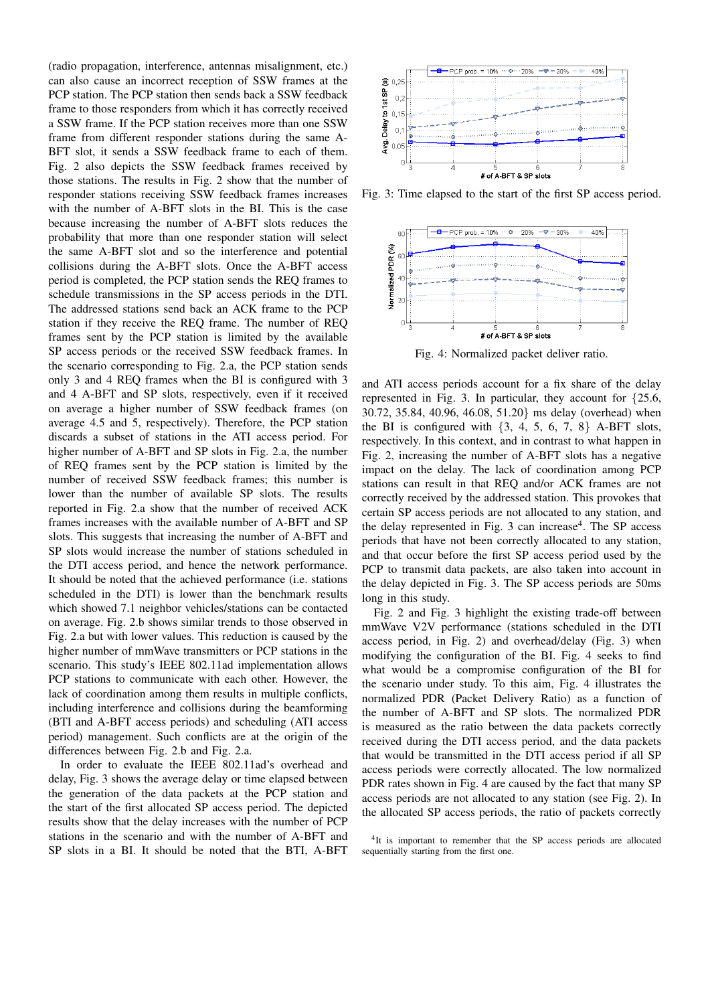(radio propagation, interference, antennas misalignment, etc.) can also cause an incorrect reception of SSW frames at the PCP station. The PCP station then sends back a SSW feedback frame to those responders from which it has correctly received a SSW frame. If the PCP station receives more than one SSW frame from different responder stations during the same A-BFT slot, it sends a SSW feedback frame to each of them. Fig. 2 also depicts the SSW feedback frames received by those stations. The results in Fig. 2 show that the number of responder stations receiving SSW feedback frames increases with the number of A-BFT slots in the BI. This is the case because increasing the number of A-BFT slots reduces the probability that more than one responder station will select the same A-BFT slot and so the interference and potential collisions during the A-BFT slots. Once the A-BFT access period is completed, the PCP station sends the REQ frames to schedule transmissions in the SP access periods in the DTI. The addressed stations send back an ACK frame to the PCP station if they receive the REQ frame. The number of REQ frames sent by the PCP station is limited by the available SP access periods or the received SSW feedback frames. In the scenario corresponding to Fig. 2.a, the PCP station sends only 3 and 4 REQ frames when the BI is configured with 3 and 4 A-BFT and SP slots, respectively, even if it received on average a higher number of SSW feedback frames (on average 4.5 and 5, respectively). Therefore, the PCP station discards a subset of stations in the ATI access period. For higher number of A-BFT and SP slots in Fig. 2.a, the number of REQ frames sent by the PCP station is limited by the number of received SSW feedback frames; this number is lower than the number of available SP slots. The results reported in Fig. 2.a show that the number of received ACK frames increases with the available number of A-BFT and SP slots. This suggests that increasing the number of A-BFT and SP slots would increase the number of stations scheduled in the DTI access period, and hence the network performance. It should be noted that the achieved performance (i.e. stations scheduled in the DTI) is lower than the benchmark results which showed 7.1 neighbor vehicles/stations can be contacted on average. Fig. 2.b shows similar trends to those observed in Fig. 2.a but with lower values. This reduction is caused by the higher number of mmWave transmitters or PCP stations in the scenario. This study's IEEE 802.11ad implementation allows PCP stations to communicate with each other. However, the lack of coordination among them results in multiple conflicts, including interference and collisions during the beamforming (BTI and A-BFT access periods) and scheduling (ATI access period) management. Such conflicts are at the origin of the differences between Fig. 2.b and Fig. 2.a.

In order to evaluate the IEEE 802.11ad's overhead and delay, Fig. 3 shows the average delay or time elapsed between the generation of the data packets at the PCP station and the start of the first allocated SP access period. The depicted results show that the delay increases with the number of PCP stations in the scenario and with the number of A-BFT and SP slots in a BI. It should be noted that the BTI, A-BFT



Fig. 3: Time elapsed to the start of the first SP access period.



Fig. 4: Normalized packet deliver ratio.

and ATI access periods account for a fix share of the delay represented in Fig. 3. In particular, they account for {25.6, 30.72, 35.84, 40.96, 46.08, 51.20} ms delay (overhead) when the BI is configured with  $\{3, 4, 5, 6, 7, 8\}$  A-BFT slots, respectively. In this context, and in contrast to what happen in Fig. 2, increasing the number of A-BFT slots has a negative impact on the delay. The lack of coordination among PCP stations can result in that REQ and/or ACK frames are not correctly received by the addressed station. This provokes that certain SP access periods are not allocated to any station, and the delay represented in Fig. 3 can increase<sup>4</sup>. The SP access periods that have not been correctly allocated to any station, and that occur before the first SP access period used by the PCP to transmit data packets, are also taken into account in the delay depicted in Fig. 3. The SP access periods are 50ms long in this study.

Fig. 2 and Fig. 3 highlight the existing trade-off between mmWave V2V performance (stations scheduled in the DTI access period, in Fig. 2) and overhead/delay (Fig. 3) when modifying the configuration of the BI. Fig. 4 seeks to find what would be a compromise configuration of the BI for the scenario under study. To this aim, Fig. 4 illustrates the normalized PDR (Packet Delivery Ratio) as a function of the number of A-BFT and SP slots. The normalized PDR is measured as the ratio between the data packets correctly received during the DTI access period, and the data packets that would be transmitted in the DTI access period if all SP access periods were correctly allocated. The low normalized PDR rates shown in Fig. 4 are caused by the fact that many SP access periods are not allocated to any station (see Fig. 2). In the allocated SP access periods, the ratio of packets correctly

<sup>4</sup>It is important to remember that the SP access periods are allocated sequentially starting from the first one.